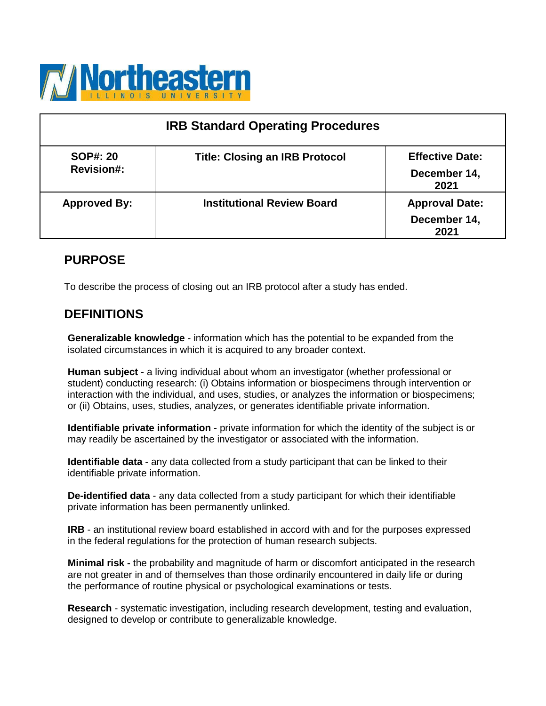

| <b>IRB Standard Operating Procedures</b> |                                       |                                                |  |
|------------------------------------------|---------------------------------------|------------------------------------------------|--|
| <b>SOP#: 20</b><br><b>Revision#:</b>     | <b>Title: Closing an IRB Protocol</b> | <b>Effective Date:</b><br>December 14,<br>2021 |  |
| <b>Approved By:</b>                      | <b>Institutional Review Board</b>     | <b>Approval Date:</b><br>December 14,<br>2021  |  |

# **PURPOSE**

To describe the process of closing out an IRB protocol after a study has ended.

# **DEFINITIONS**

**Generalizable knowledge** - information which has the potential to be expanded from the isolated circumstances in which it is acquired to any broader context.

**Human subject** - a living individual about whom an investigator (whether professional or student) conducting research: (i) Obtains information or biospecimens through intervention or interaction with the individual, and uses, studies, or analyzes the information or biospecimens; or (ii) Obtains, uses, studies, analyzes, or generates identifiable private information.

**Identifiable private information** - private information for which the identity of the subject is or may readily be ascertained by the investigator or associated with the information.

**Identifiable data** - any data collected from a study participant that can be linked to their identifiable private information.

**De-identified data** - any data collected from a study participant for which their identifiable private information has been permanently unlinked.

**IRB** - an institutional review board established in accord with and for the purposes expressed in the federal regulations for the protection of human research subjects.

**Minimal risk -** the probability and magnitude of harm or discomfort anticipated in the research are not greater in and of themselves than those ordinarily encountered in daily life or during the performance of routine physical or psychological examinations or tests.

**Research** - systematic investigation, including research development, testing and evaluation, designed to develop or contribute to generalizable knowledge.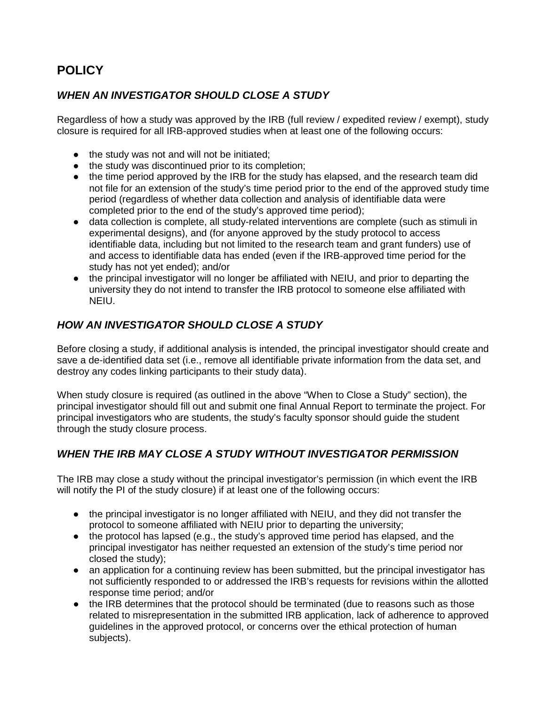# **POLICY**

### *WHEN AN INVESTIGATOR SHOULD CLOSE A STUDY*

Regardless of how a study was approved by the IRB (full review / expedited review / exempt), study closure is required for all IRB-approved studies when at least one of the following occurs:

- the study was not and will not be initiated;
- the study was discontinued prior to its completion;
- the time period approved by the IRB for the study has elapsed, and the research team did not file for an extension of the study's time period prior to the end of the approved study time period (regardless of whether data collection and analysis of identifiable data were completed prior to the end of the study's approved time period);
- data collection is complete, all study-related interventions are complete (such as stimuli in experimental designs), and (for anyone approved by the study protocol to access identifiable data, including but not limited to the research team and grant funders) use of and access to identifiable data has ended (even if the IRB-approved time period for the study has not yet ended); and/or
- the principal investigator will no longer be affiliated with NEIU, and prior to departing the university they do not intend to transfer the IRB protocol to someone else affiliated with NEIU.

### *HOW AN INVESTIGATOR SHOULD CLOSE A STUDY*

Before closing a study, if additional analysis is intended, the principal investigator should create and save a de-identified data set (i.e., remove all identifiable private information from the data set, and destroy any codes linking participants to their study data).

When study closure is required (as outlined in the above "When to Close a Study" section), the principal investigator should fill out and submit one final Annual Report to terminate the project. For principal investigators who are students, the study's faculty sponsor should guide the student through the study closure process.

### *WHEN THE IRB MAY CLOSE A STUDY WITHOUT INVESTIGATOR PERMISSION*

The IRB may close a study without the principal investigator's permission (in which event the IRB will notify the PI of the study closure) if at least one of the following occurs:

- the principal investigator is no longer affiliated with NEIU, and they did not transfer the protocol to someone affiliated with NEIU prior to departing the university;
- the protocol has lapsed (e.g., the study's approved time period has elapsed, and the principal investigator has neither requested an extension of the study's time period nor closed the study);
- an application for a continuing review has been submitted, but the principal investigator has not sufficiently responded to or addressed the IRB's requests for revisions within the allotted response time period; and/or
- the IRB determines that the protocol should be terminated (due to reasons such as those related to misrepresentation in the submitted IRB application, lack of adherence to approved guidelines in the approved protocol, or concerns over the ethical protection of human subjects).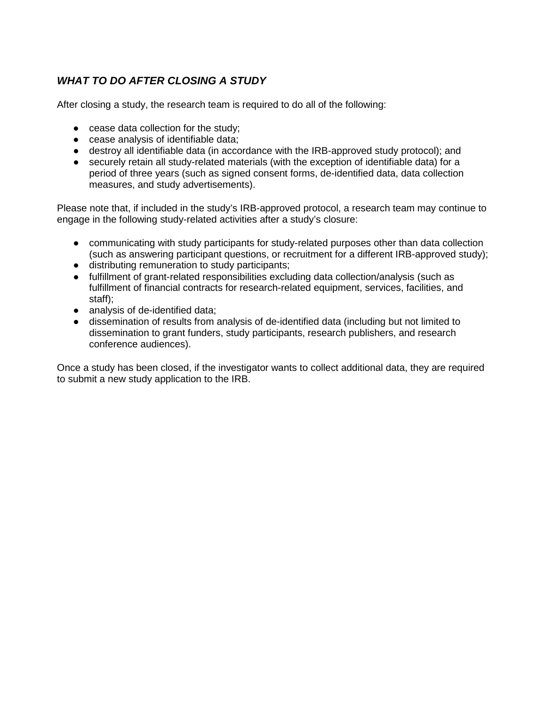## *WHAT TO DO AFTER CLOSING A STUDY*

After closing a study, the research team is required to do all of the following:

- cease data collection for the study;
- cease analysis of identifiable data;
- destroy all identifiable data (in accordance with the IRB-approved study protocol); and
- securely retain all study-related materials (with the exception of identifiable data) for a period of three years (such as signed consent forms, de-identified data, data collection measures, and study advertisements).

Please note that, if included in the study's IRB-approved protocol, a research team may continue to engage in the following study-related activities after a study's closure:

- communicating with study participants for study-related purposes other than data collection (such as answering participant questions, or recruitment for a different IRB-approved study);
- distributing remuneration to study participants;
- fulfillment of grant-related responsibilities excluding data collection/analysis (such as fulfillment of financial contracts for research-related equipment, services, facilities, and staff);
- analysis of de-identified data:
- dissemination of results from analysis of de-identified data (including but not limited to dissemination to grant funders, study participants, research publishers, and research conference audiences).

Once a study has been closed, if the investigator wants to collect additional data, they are required to submit a new study application to the IRB.